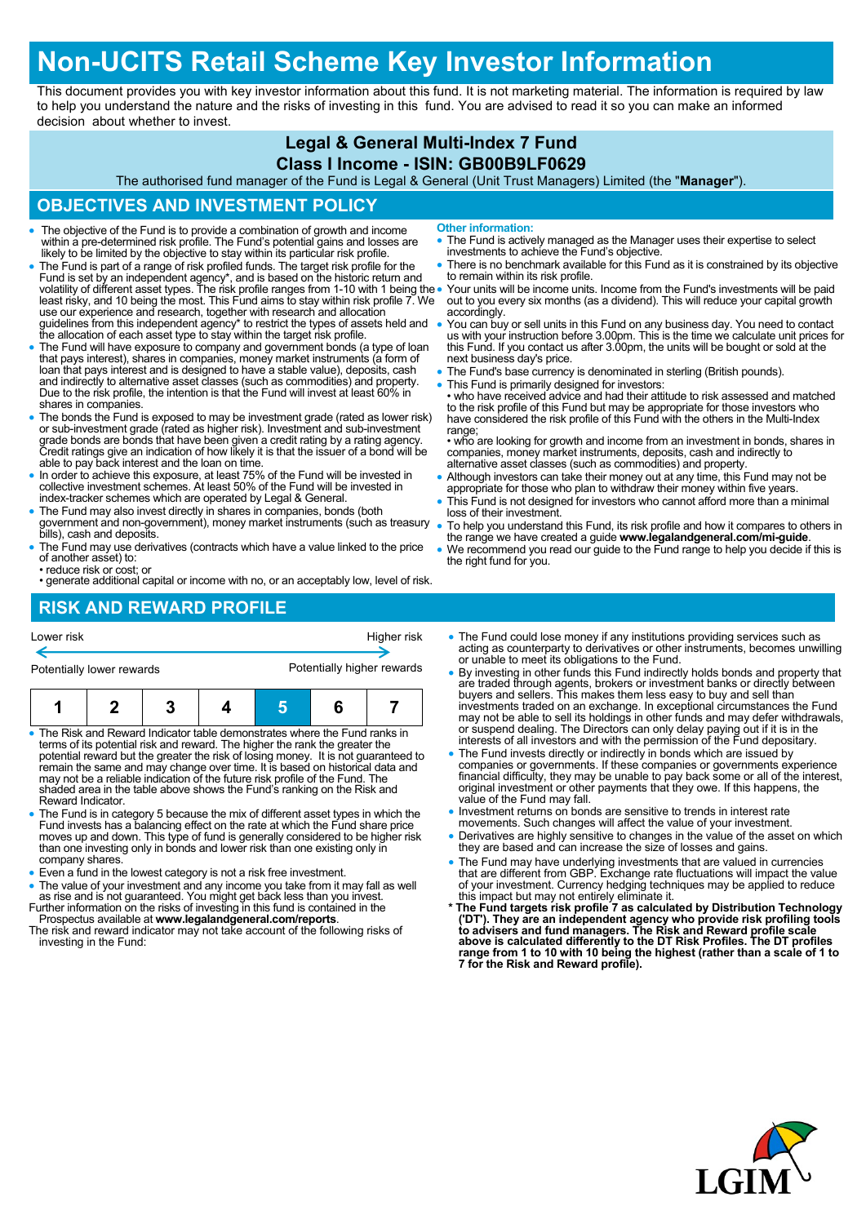# **Non-UCITS Retail Scheme Key Investor Information**

This document provides you with key investor information about this fund. It is not marketing material. The information is required by law to help you understand the nature and the risks of investing in this fund. You are advised to read it so you can make an informed decision about whether to invest.

### **Legal & General Multi-Index 7 Fund**

#### **Class I Income - ISIN: GB00B9LF0629**

The authorised fund manager of the Fund is Legal & General (Unit Trust Managers) Limited (the "**Manager**").

**Other information:**

accordingly.

range;

loss of their investment.

the right fund for you.

to remain within its risk profile.

#### **OBJECTIVES AND INVESTMENT POLICY**

- The objective of the Fund is to provide a combination of growth and income within a pre-determined risk profile. The Fund's potential gains and losses are likely to be limited by the objective to stay within its particular risk profile.
- The Fund is part of a range of risk profiled funds. The target risk profile for the Fund is set by an independent agency\*, and is based on the historic return and<br>volatility of different asset types. The risk profile ranges from 1-10 with 1 being the<br>least risky, and 10 being the most. This Fund aims to s use our experience and research, together with research and allocation guidelines from this independent agency\* to restrict the types of assets held and the allocation of each asset type to stay within the target risk profile.
- The Fund will have exposure to company and government bonds (a type of loan that pays interest), shares in companies, money market instruments (a form of loan that pays interest and is designed to have a stable value), deposits, cash and indirectly to alternative asset classes (such as commodities) and property. Due to the risk profile, the intention is that the Fund will invest at least 60% in shares in companies.
- The bonds the Fund is exposed to may be investment grade (rated as lower risk) or sub-investment grade (rated as higher risk). Investment and sub-investment grade bonds are bonds that have been given a credit rating by a rating agency. Credit ratings give an indication of how likely it is that the issuer of a bond will be able to pay back interest and the loan on time.
- In order to achieve this exposure, at least 75% of the Fund will be invested in collective investment schemes. At least 50% of the Fund will be invested in index-tracker schemes which are operated by Legal & General.
- The Fund may also invest directly in shares in companies, bonds (both government and non-government), money market instruments (such as treasury bills), cash and deposits.
- The Fund may use derivatives (contracts which have a value linked to the price of another asset) to:
- reduce risk or cost; or
- generate additional capital or income with no, or an acceptably low, level of risk.

### **RISK AND REWARD PROFILE**

- Lower risk Higher risk Higher risk Potentially lower rewards Potentially higher rewards **1 2 3 4 5 6 7**
- The Risk and Reward Indicator table demonstrates where the Fund ranks in terms of its potential risk and reward. The higher the rank the greater the potential reward but the greater the risk of losing money. It is not guaranteed to remain the same and may change over time. It is based on historical data and may not be a reliable indication of the future risk profile of the Fund. The shaded area in the table above shows the Fund's ranking on the Risk and Reward Indicator.
- The Fund is in category 5 because the mix of different asset types in which the Fund invests has a balancing effect on the rate at which the Fund share price<br>moves up and down. This type of fund is generally considered to be higher risk<br>than one investing only in bonds and lower risk than one existing company shares.
- Even a fund in the lowest category is not a risk free investment.
- The value of your investment and any income you take from it may fall as well as rise and is not guaranteed. You might get back less than you invest.
- Further information on the risks of investing in this fund is contained in the Prospectus available at **www.legalandgeneral.com/reports**.
- The risk and reward indicator may not take account of the following risks of investing in the Fund:

• The Fund could lose money if any institutions providing services such as acting as counterparty to derivatives or other instruments, becomes unwilling or unable to meet its obligations to the Fund.

 The Fund is actively managed as the Manager uses their expertise to select investments to achieve the Fund's objective. There is no benchmark available for this Fund as it is constrained by its objective

 Your units will be income units. Income from the Fund's investments will be paid out to you every six months (as a dividend). This will reduce your capital growth

 You can buy or sell units in this Fund on any business day. You need to contact us with your instruction before 3.00pm. This is the time we calculate unit prices for this Fund. If you contact us after 3.00pm, the units will be bought or sold at the next business day's price.

 This Fund is primarily designed for investors: • who have received advice and had their attitude to risk assessed and matched to the risk profile of this Fund but may be appropriate for those investors who have considered the risk profile of this Fund with the others in the Multi-Index

• who are looking for growth and income from an investment in bonds, shares in companies, money market instruments, deposits, cash and indirectly to

 Although investors can take their money out at any time, this Fund may not be appropriate for those who plan to withdraw their money within five years. This Fund is not designed for investors who cannot afford more than a minimal

 To help you understand this Fund, its risk profile and how it compares to others in the range we have created a guide **www.legalandgeneral.com/mi-guide**. We recommend you read our guide to the Fund range to help you decide if this is

The Fund's base currency is denominated in sterling (British pounds).

alternative asset classes (such as commodities) and property.

- By investing in other funds this Fund indirectly holds bonds and property that are traded through agents, brokers or investment banks or directly between buyers and sellers. This makes them less easy to buy and sell than investments traded on an exchange. In exceptional circumstances the Fund may not be able to sell its holdings in other funds and may defer withdrawals, or suspend dealing. The Directors can only delay paying out if it is in the interests of all investors and with the permission of the Fund depositary.
- The Fund invests directly or indirectly in bonds which are issued by companies or governments. If these companies or governments experience<br>financial difficulty, they may be unable to pay back some or all of the interest,<br>original investment or other payments that they owe. If this happens, value of the Fund may fall.
- Investment returns on bonds are sensitive to trends in interest rate
- movements. Such changes will affect the value of your investment. Derivatives are highly sensitive to changes in the value of the asset on which they are based and can increase the size of losses and gains.
- The Fund may have underlying investments that are valued in currencies that are different from GBP. Exchange rate fluctuations will impact the value of your investment. Currency hedging techniques may be applied to reduce
- this impact but may not entirely eliminate it.<br>\* The Fund targets risk profile 7 as calculated by Distribution Technology<br>('DT'). They are an independent agency who provide risk profiling tools<br>to advisers and fund manager **above is calculated differently to the DT Risk Profiles. The DT profiles range from 1 to 10 with 10 being the highest (rather than a scale of 1 to 7 for the Risk and Reward profile).**